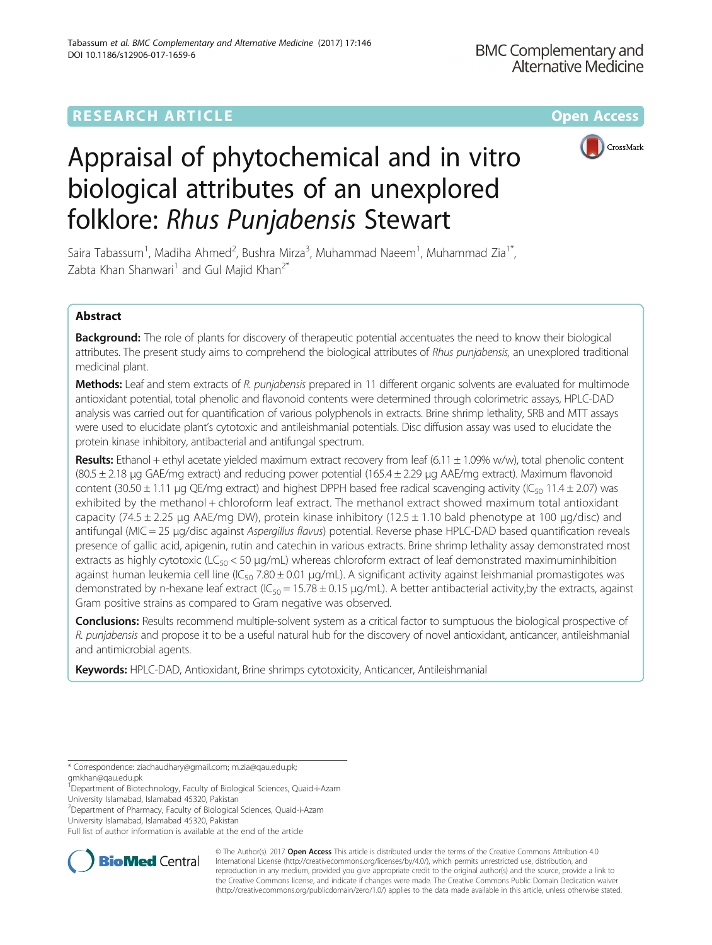## **RESEARCH ARTICLE Example 2014 12:30 The Company Access** (RESEARCH ARTICLE



# Appraisal of phytochemical and in vitro biological attributes of an unexplored folklore: Rhus Punjabensis Stewart

Saira Tabassum<sup>1</sup>, Madiha Ahmed<sup>2</sup>, Bushra Mirza<sup>3</sup>, Muhammad Naeem<sup>1</sup>, Muhammad Zia<sup>1\*</sup>, Zabta Khan Shanwari<sup>1</sup> and Gul Majid Khan<sup>2\*</sup>

### Abstract

Background: The role of plants for discovery of therapeutic potential accentuates the need to know their biological attributes. The present study aims to comprehend the biological attributes of Rhus punjabensis, an unexplored traditional medicinal plant.

Methods: Leaf and stem extracts of R. punjabensis prepared in 11 different organic solvents are evaluated for multimode antioxidant potential, total phenolic and flavonoid contents were determined through colorimetric assays, HPLC-DAD analysis was carried out for quantification of various polyphenols in extracts. Brine shrimp lethality, SRB and MTT assays were used to elucidate plant's cytotoxic and antileishmanial potentials. Disc diffusion assay was used to elucidate the protein kinase inhibitory, antibacterial and antifungal spectrum.

**Results:** Ethanol + ethyl acetate yielded maximum extract recovery from leaf (6.11  $\pm$  1.09% w/w), total phenolic content (80.5 ± 2.18 μg GAE/mg extract) and reducing power potential (165.4 ± 2.29 μg AAE/mg extract). Maximum flavonoid content (30.50  $\pm$  1.11 µg QE/mg extract) and highest DPPH based free radical scavenging activity (IC<sub>50</sub> 11.4  $\pm$  2.07) was exhibited by the methanol + chloroform leaf extract. The methanol extract showed maximum total antioxidant capacity (74.5  $\pm$  2.25 μg AAE/mg DW), protein kinase inhibitory (12.5  $\pm$  1.10 bald phenotype at 100 μg/disc) and antifungal (MIC = 25 <sup>μ</sup>g/disc against Aspergillus flavus) potential. Reverse phase HPLC-DAD based quantification reveals presence of gallic acid, apigenin, rutin and catechin in various extracts. Brine shrimp lethality assay demonstrated most extracts as highly cytotoxic ( $LC_{50}$  < 50 µg/mL) whereas chloroform extract of leaf demonstrated maximuminhibition against human leukemia cell line (IC<sub>50</sub> 7.80  $\pm$  0.01  $\mu$ g/mL). A significant activity against leishmanial promastigotes was demonstrated by n-hexane leaf extract (IC<sub>50</sub> = 15.78  $\pm$  0.15 µg/mL). A better antibacterial activity, by the extracts, against Gram positive strains as compared to Gram negative was observed.

Conclusions: Results recommend multiple-solvent system as a critical factor to sumptuous the biological prospective of R. punjabensis and propose it to be a useful natural hub for the discovery of novel antioxidant, anticancer, antileishmanial and antimicrobial agents.

Keywords: HPLC-DAD, Antioxidant, Brine shrimps cytotoxicity, Anticancer, Antileishmanial

\* Correspondence: [ziachaudhary@gmail.com](mailto:ziachaudhary@gmail.com); [m.zia@qau.edu.pk](mailto:m.zia@qau.edu.pk); [gmkhan@qau.edu.pk](mailto:gmkhan@qau.edu.pk)

<sup>1</sup>Department of Biotechnology, Faculty of Biological Sciences, Quaid-i-Azam University Islamabad, Islamabad 45320, Pakistan

2 Department of Pharmacy, Faculty of Biological Sciences, Quaid-i-Azam

University Islamabad, Islamabad 45320, Pakistan

Full list of author information is available at the end of the article



© The Author(s). 2017 **Open Access** This article is distributed under the terms of the Creative Commons Attribution 4.0 International License [\(http://creativecommons.org/licenses/by/4.0/](http://creativecommons.org/licenses/by/4.0/)), which permits unrestricted use, distribution, and reproduction in any medium, provided you give appropriate credit to the original author(s) and the source, provide a link to the Creative Commons license, and indicate if changes were made. The Creative Commons Public Domain Dedication waiver [\(http://creativecommons.org/publicdomain/zero/1.0/](http://creativecommons.org/publicdomain/zero/1.0/)) applies to the data made available in this article, unless otherwise stated.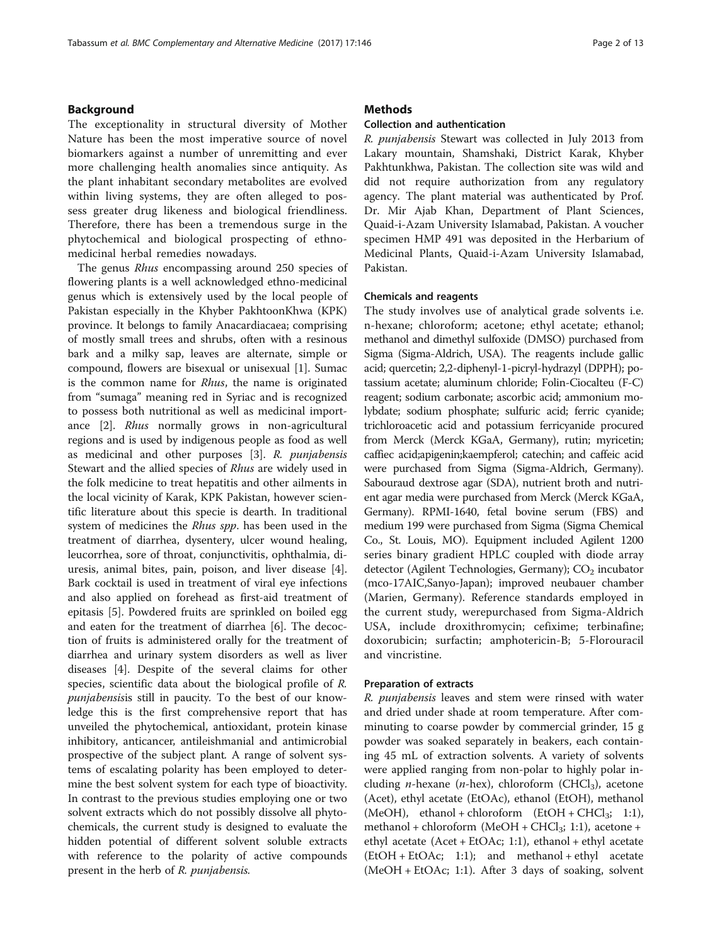#### Background

The exceptionality in structural diversity of Mother Nature has been the most imperative source of novel biomarkers against a number of unremitting and ever more challenging health anomalies since antiquity. As the plant inhabitant secondary metabolites are evolved within living systems, they are often alleged to possess greater drug likeness and biological friendliness. Therefore, there has been a tremendous surge in the phytochemical and biological prospecting of ethnomedicinal herbal remedies nowadays.

The genus *Rhus* encompassing around 250 species of flowering plants is a well acknowledged ethno-medicinal genus which is extensively used by the local people of Pakistan especially in the Khyber PakhtoonKhwa (KPK) province. It belongs to family Anacardiacaea; comprising of mostly small trees and shrubs, often with a resinous bark and a milky sap, leaves are alternate, simple or compound, flowers are bisexual or unisexual [\[1](#page-11-0)]. Sumac is the common name for *Rhus*, the name is originated from "sumaga" meaning red in Syriac and is recognized to possess both nutritional as well as medicinal importance [\[2](#page-11-0)]. Rhus normally grows in non-agricultural regions and is used by indigenous people as food as well as medicinal and other purposes [\[3](#page-11-0)]. R. punjabensis Stewart and the allied species of Rhus are widely used in the folk medicine to treat hepatitis and other ailments in the local vicinity of Karak, KPK Pakistan, however scientific literature about this specie is dearth. In traditional system of medicines the Rhus spp. has been used in the treatment of diarrhea, dysentery, ulcer wound healing, leucorrhea, sore of throat, conjunctivitis, ophthalmia, diuresis, animal bites, pain, poison, and liver disease [\[4](#page-11-0)]. Bark cocktail is used in treatment of viral eye infections and also applied on forehead as first-aid treatment of epitasis [\[5](#page-11-0)]. Powdered fruits are sprinkled on boiled egg and eaten for the treatment of diarrhea [\[6](#page-11-0)]. The decoction of fruits is administered orally for the treatment of diarrhea and urinary system disorders as well as liver diseases [\[4](#page-11-0)]. Despite of the several claims for other species, scientific data about the biological profile of R. punjabensisis still in paucity. To the best of our knowledge this is the first comprehensive report that has unveiled the phytochemical, antioxidant, protein kinase inhibitory, anticancer, antileishmanial and antimicrobial prospective of the subject plant. A range of solvent systems of escalating polarity has been employed to determine the best solvent system for each type of bioactivity. In contrast to the previous studies employing one or two solvent extracts which do not possibly dissolve all phytochemicals, the current study is designed to evaluate the hidden potential of different solvent soluble extracts with reference to the polarity of active compounds present in the herb of R. punjabensis.

#### **Methods**

#### Collection and authentication

R. punjabensis Stewart was collected in July 2013 from Lakary mountain, Shamshaki, District Karak, Khyber Pakhtunkhwa, Pakistan. The collection site was wild and did not require authorization from any regulatory agency. The plant material was authenticated by Prof. Dr. Mir Ajab Khan, Department of Plant Sciences, Quaid-i-Azam University Islamabad, Pakistan. A voucher specimen HMP 491 was deposited in the Herbarium of Medicinal Plants, Quaid-i-Azam University Islamabad, Pakistan.

#### Chemicals and reagents

The study involves use of analytical grade solvents i.e. n-hexane; chloroform; acetone; ethyl acetate; ethanol; methanol and dimethyl sulfoxide (DMSO) purchased from Sigma (Sigma-Aldrich, USA). The reagents include gallic acid; quercetin; 2,2-diphenyl-1-picryl-hydrazyl (DPPH); potassium acetate; aluminum chloride; Folin-Ciocalteu (F-C) reagent; sodium carbonate; ascorbic acid; ammonium molybdate; sodium phosphate; sulfuric acid; ferric cyanide; trichloroacetic acid and potassium ferricyanide procured from Merck (Merck KGaA, Germany), rutin; myricetin; caffiec acid;apigenin;kaempferol; catechin; and caffeic acid were purchased from Sigma (Sigma-Aldrich, Germany). Sabouraud dextrose agar (SDA), nutrient broth and nutrient agar media were purchased from Merck (Merck KGaA, Germany). RPMI-1640, fetal bovine serum (FBS) and medium 199 were purchased from Sigma (Sigma Chemical Co., St. Louis, MO). Equipment included Agilent 1200 series binary gradient HPLC coupled with diode array detector (Agilent Technologies, Germany);  $CO<sub>2</sub>$  incubator (mco-17AIC,Sanyo-Japan); improved neubauer chamber (Marien, Germany). Reference standards employed in the current study, werepurchased from Sigma-Aldrich USA, include droxithromycin; cefixime; terbinafine; doxorubicin; surfactin; amphotericin-B; 5-Florouracil and vincristine.

#### Preparation of extracts

R. punjabensis leaves and stem were rinsed with water and dried under shade at room temperature. After comminuting to coarse powder by commercial grinder, 15 g powder was soaked separately in beakers, each containing 45 mL of extraction solvents. A variety of solvents were applied ranging from non-polar to highly polar including *n*-hexane (*n*-hex), chloroform (CHCl<sub>3</sub>), acetone (Acet), ethyl acetate (EtOAc), ethanol (EtOH), methanol (MeOH), ethanol + chloroform  $(EtOH + CHCl<sub>3</sub>; 1:1)$ , methanol + chloroform (MeOH + CHCl<sub>3</sub>; 1:1), acetone + ethyl acetate (Acet + EtOAc; 1:1), ethanol + ethyl acetate  $(EtOH + EtOAc; 1:1);$  and methanol + ethyl acetate (MeOH + EtOAc; 1:1). After 3 days of soaking, solvent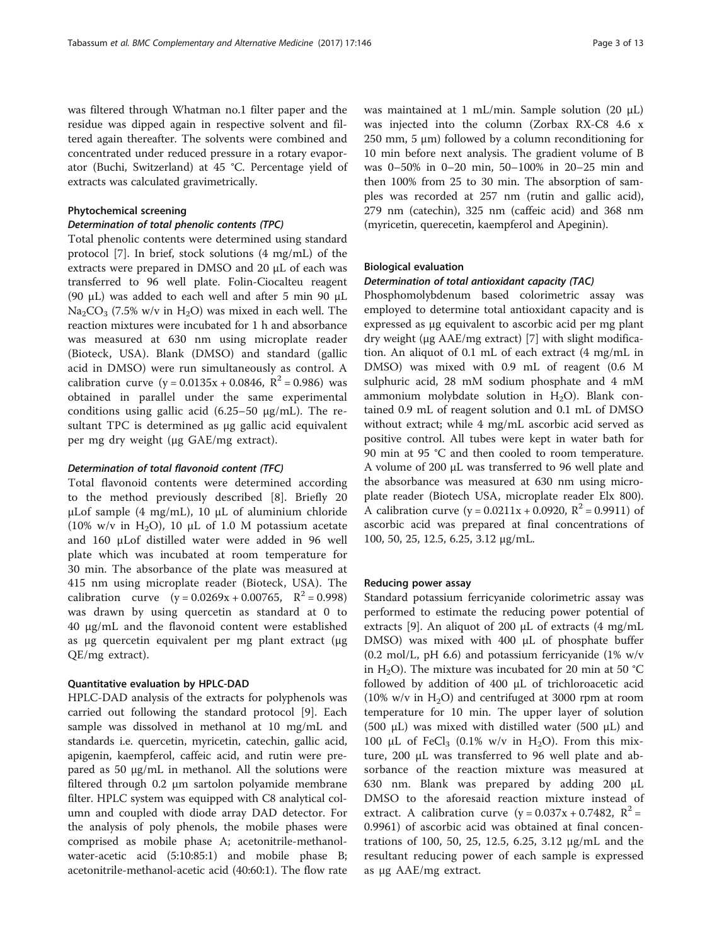was filtered through Whatman no.1 filter paper and the residue was dipped again in respective solvent and filtered again thereafter. The solvents were combined and concentrated under reduced pressure in a rotary evaporator (Buchi, Switzerland) at 45 °C. Percentage yield of extracts was calculated gravimetrically.

#### Phytochemical screening

#### Determination of total phenolic contents (TPC)

Total phenolic contents were determined using standard protocol [\[7](#page-11-0)]. In brief, stock solutions (4 mg/mL) of the extracts were prepared in DMSO and 20 μL of each was transferred to 96 well plate. Folin-Ciocalteu reagent (90  $\mu$ L) was added to each well and after 5 min 90  $\mu$ L  $Na<sub>2</sub>CO<sub>3</sub>$  (7.5% w/v in H<sub>2</sub>O) was mixed in each well. The reaction mixtures were incubated for 1 h and absorbance was measured at 630 nm using microplate reader (Bioteck, USA). Blank (DMSO) and standard (gallic acid in DMSO) were run simultaneously as control. A calibration curve  $(y = 0.0135x + 0.0846, R^2 = 0.986)$  was obtained in parallel under the same experimental conditions using gallic acid  $(6.25-50 \text{ µg/mL})$ . The resultant TPC is determined as μg gallic acid equivalent per mg dry weight (μg GAE/mg extract).

#### Determination of total flavonoid content (TFC)

Total flavonoid contents were determined according to the method previously described [[8\]](#page-11-0). Briefly 20 μLof sample (4 mg/mL), 10 μL of aluminium chloride (10% w/v in H<sub>2</sub>O), 10 µL of 1.0 M potassium acetate and 160 μLof distilled water were added in 96 well plate which was incubated at room temperature for 30 min. The absorbance of the plate was measured at 415 nm using microplate reader (Bioteck, USA). The calibration curve  $(y = 0.0269x + 0.00765, R^2 = 0.998)$ was drawn by using quercetin as standard at 0 to 40 μg/mL and the flavonoid content were established as μg quercetin equivalent per mg plant extract (μg QE/mg extract).

#### Quantitative evaluation by HPLC-DAD

HPLC-DAD analysis of the extracts for polyphenols was carried out following the standard protocol [\[9\]](#page-11-0). Each sample was dissolved in methanol at 10 mg/mL and standards i.e. quercetin, myricetin, catechin, gallic acid, apigenin, kaempferol, caffeic acid, and rutin were prepared as 50 μg/mL in methanol. All the solutions were filtered through 0.2 μm sartolon polyamide membrane filter. HPLC system was equipped with C8 analytical column and coupled with diode array DAD detector. For the analysis of poly phenols, the mobile phases were comprised as mobile phase A; acetonitrile-methanolwater-acetic acid (5:10:85:1) and mobile phase B; acetonitrile-methanol-acetic acid (40:60:1). The flow rate was maintained at 1 mL/min. Sample solution (20 μL) was injected into the column (Zorbax RX-C8 4.6 x 250 mm, 5 μm) followed by a column reconditioning for 10 min before next analysis. The gradient volume of B was 0–50% in 0–20 min, 50–100% in 20–25 min and then 100% from 25 to 30 min. The absorption of samples was recorded at 257 nm (rutin and gallic acid), 279 nm (catechin), 325 nm (caffeic acid) and 368 nm (myricetin, querecetin, kaempferol and Apeginin).

#### Biological evaluation

#### Determination of total antioxidant capacity (TAC)

Phosphomolybdenum based colorimetric assay was employed to determine total antioxidant capacity and is expressed as μg equivalent to ascorbic acid per mg plant dry weight (μg AAE/mg extract) [[7\]](#page-11-0) with slight modification. An aliquot of 0.1 mL of each extract (4 mg/mL in DMSO) was mixed with 0.9 mL of reagent (0.6 M sulphuric acid, 28 mM sodium phosphate and 4 mM ammonium molybdate solution in  $H_2O$ ). Blank contained 0.9 mL of reagent solution and 0.1 mL of DMSO without extract; while 4 mg/mL ascorbic acid served as positive control. All tubes were kept in water bath for 90 min at 95 °C and then cooled to room temperature. A volume of 200 μL was transferred to 96 well plate and the absorbance was measured at 630 nm using microplate reader (Biotech USA, microplate reader Elx 800). A calibration curve (y =  $0.0211x + 0.0920$ ,  $R^2 = 0.9911$ ) of ascorbic acid was prepared at final concentrations of 100, 50, 25, 12.5, 6.25, 3.12 μg/mL.

#### Reducing power assay

Standard potassium ferricyanide colorimetric assay was performed to estimate the reducing power potential of extracts [\[9](#page-11-0)]. An aliquot of 200 μL of extracts (4 mg/mL DMSO) was mixed with 400 μL of phosphate buffer  $(0.2 \text{ mol/L}, \text{pH } 6.6)$  and potassium ferricyanide  $(1\% \text{ w/v})$ in H<sub>2</sub>O). The mixture was incubated for 20 min at 50 °C followed by addition of 400 μL of trichloroacetic acid (10% w/v in  $H_2O$ ) and centrifuged at 3000 rpm at room temperature for 10 min. The upper layer of solution (500 μL) was mixed with distilled water (500 μL) and 100 μL of FeCl<sub>3</sub> (0.1% w/v in H<sub>2</sub>O). From this mixture, 200 μL was transferred to 96 well plate and absorbance of the reaction mixture was measured at 630 nm. Blank was prepared by adding 200 μL DMSO to the aforesaid reaction mixture instead of extract. A calibration curve  $(y = 0.037x + 0.7482, R^2 =$ 0.9961) of ascorbic acid was obtained at final concentrations of 100, 50, 25, 12.5, 6.25, 3.12 μg/mL and the resultant reducing power of each sample is expressed as μg AAE/mg extract.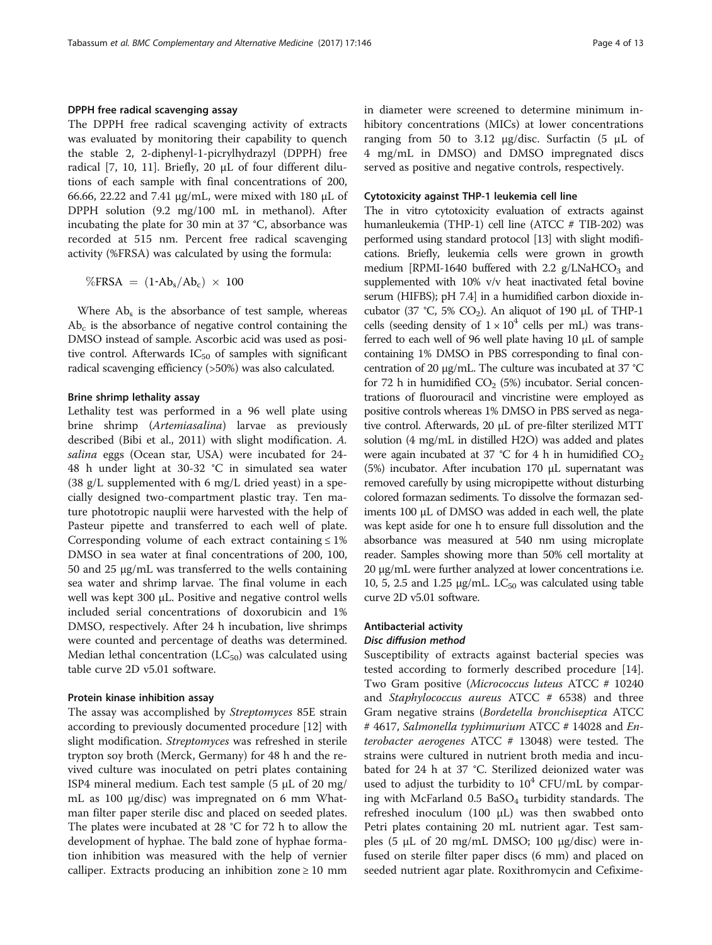#### DPPH free radical scavenging assay

The DPPH free radical scavenging activity of extracts was evaluated by monitoring their capability to quench the stable 2, 2-diphenyl-1-picrylhydrazyl (DPPH) free radical [\[7](#page-11-0), [10](#page-11-0), [11](#page-11-0)]. Briefly, 20 μL of four different dilutions of each sample with final concentrations of 200, 66.66, 22.22 and 7.41 μg/mL, were mixed with 180 μL of DPPH solution (9.2 mg/100 mL in methanol). After incubating the plate for 30 min at 37 °C, absorbance was recorded at 515 nm. Percent free radical scavenging activity (%FRSA) was calculated by using the formula:

$$
\%FRSA = (1 - Ab_s / Ab_c) \times 100
$$

Where  $Ab_s$  is the absorbance of test sample, whereas Abc is the absorbance of negative control containing the DMSO instead of sample. Ascorbic acid was used as positive control. Afterwards  $IC_{50}$  of samples with significant radical scavenging efficiency (>50%) was also calculated.

#### Brine shrimp lethality assay

Lethality test was performed in a 96 well plate using brine shrimp (Artemiasalina) larvae as previously described (Bibi et al., 2011) with slight modification. A. salina eggs (Ocean star, USA) were incubated for 24- 48 h under light at 30-32 °C in simulated sea water (38 g/L supplemented with 6 mg/L dried yeast) in a specially designed two-compartment plastic tray. Ten mature phototropic nauplii were harvested with the help of Pasteur pipette and transferred to each well of plate. Corresponding volume of each extract containing  $\leq 1\%$ DMSO in sea water at final concentrations of 200, 100, 50 and 25 μg/mL was transferred to the wells containing sea water and shrimp larvae. The final volume in each well was kept 300 μL. Positive and negative control wells included serial concentrations of doxorubicin and 1% DMSO, respectively. After 24 h incubation, live shrimps were counted and percentage of deaths was determined. Median lethal concentration  $(LC_{50})$  was calculated using table curve 2D v5.01 software.

#### Protein kinase inhibition assay

The assay was accomplished by Streptomyces 85E strain according to previously documented procedure [[12\]](#page-11-0) with slight modification. Streptomyces was refreshed in sterile trypton soy broth (Merck, Germany) for 48 h and the revived culture was inoculated on petri plates containing ISP4 mineral medium. Each test sample (5 μL of 20 mg/ mL as 100 μg/disc) was impregnated on 6 mm Whatman filter paper sterile disc and placed on seeded plates. The plates were incubated at 28 °C for 72 h to allow the development of hyphae. The bald zone of hyphae formation inhibition was measured with the help of vernier calliper. Extracts producing an inhibition zone  $\geq 10$  mm in diameter were screened to determine minimum inhibitory concentrations (MICs) at lower concentrations ranging from 50 to 3.12 μg/disc. Surfactin (5 μL of 4 mg/mL in DMSO) and DMSO impregnated discs served as positive and negative controls, respectively.

#### Cytotoxicity against THP-1 leukemia cell line

The in vitro cytotoxicity evaluation of extracts against humanleukemia (THP-1) cell line (ATCC # TIB-202) was performed using standard protocol [\[13\]](#page-11-0) with slight modifications. Briefly, leukemia cells were grown in growth medium [RPMI-1640 buffered with 2.2  $g/LNaHCO<sub>3</sub>$  and supplemented with 10% v/v heat inactivated fetal bovine serum (HIFBS); pH 7.4] in a humidified carbon dioxide incubator (37 °C, 5% CO<sub>2</sub>). An aliquot of 190  $\mu$ L of THP-1 cells (seeding density of  $1 \times 10^4$  cells per mL) was transferred to each well of 96 well plate having 10 μL of sample containing 1% DMSO in PBS corresponding to final concentration of 20 μg/mL. The culture was incubated at 37 °C for 72 h in humidified  $CO<sub>2</sub>$  (5%) incubator. Serial concentrations of fluorouracil and vincristine were employed as positive controls whereas 1% DMSO in PBS served as negative control. Afterwards, 20 μL of pre-filter sterilized MTT solution (4 mg/mL in distilled H2O) was added and plates were again incubated at 37 °C for 4 h in humidified  $CO<sub>2</sub>$ (5%) incubator. After incubation 170 μL supernatant was removed carefully by using micropipette without disturbing colored formazan sediments. To dissolve the formazan sediments 100 μL of DMSO was added in each well, the plate was kept aside for one h to ensure full dissolution and the absorbance was measured at 540 nm using microplate reader. Samples showing more than 50% cell mortality at 20 μg/mL were further analyzed at lower concentrations i.e. 10, 5, 2.5 and 1.25 μg/mL. LC<sub>50</sub> was calculated using table curve 2D v5.01 software.

#### Antibacterial activity

#### Disc diffusion method

Susceptibility of extracts against bacterial species was tested according to formerly described procedure [\[14](#page-11-0)]. Two Gram positive (Micrococcus luteus ATCC # 10240 and Staphylococcus aureus ATCC # 6538) and three Gram negative strains (Bordetella bronchiseptica ATCC # 4617, Salmonella typhimurium ATCC # 14028 and Enterobacter aerogenes ATCC # 13048) were tested. The strains were cultured in nutrient broth media and incubated for 24 h at 37 °C. Sterilized deionized water was used to adjust the turbidity to  $10^4$  CFU/mL by comparing with McFarland 0.5 Ba $SO_4$  turbidity standards. The refreshed inoculum (100 μL) was then swabbed onto Petri plates containing 20 mL nutrient agar. Test samples (5 μL of 20 mg/mL DMSO; 100 μg/disc) were infused on sterile filter paper discs (6 mm) and placed on seeded nutrient agar plate. Roxithromycin and Cefixime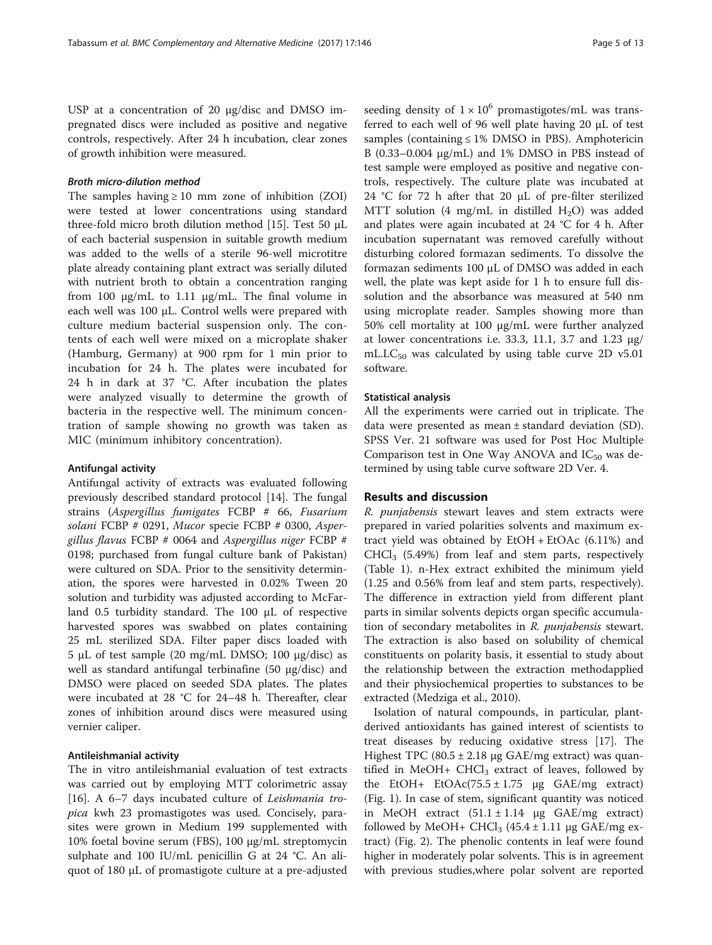USP at a concentration of 20 μg/disc and DMSO impregnated discs were included as positive and negative controls, respectively. After 24 h incubation, clear zones of growth inhibition were measured.

#### Broth micro-dilution method

The samples having  $\geq 10$  mm zone of inhibition (ZOI) were tested at lower concentrations using standard three-fold micro broth dilution method [[15\]](#page-11-0). Test 50 μL of each bacterial suspension in suitable growth medium was added to the wells of a sterile 96-well microtitre plate already containing plant extract was serially diluted with nutrient broth to obtain a concentration ranging from 100 μg/mL to 1.11 μg/mL. The final volume in each well was 100 μL. Control wells were prepared with culture medium bacterial suspension only. The contents of each well were mixed on a microplate shaker (Hamburg, Germany) at 900 rpm for 1 min prior to incubation for 24 h. The plates were incubated for 24 h in dark at 37 °C. After incubation the plates were analyzed visually to determine the growth of bacteria in the respective well. The minimum concentration of sample showing no growth was taken as MIC (minimum inhibitory concentration).

#### Antifungal activity

Antifungal activity of extracts was evaluated following previously described standard protocol [[14\]](#page-11-0). The fungal strains (Aspergillus fumigates FCBP # 66, Fusarium solani FCBP # 0291, Mucor specie FCBP # 0300, Aspergillus flavus FCBP # 0064 and Aspergillus niger FCBP # 0198; purchased from fungal culture bank of Pakistan) were cultured on SDA. Prior to the sensitivity determination, the spores were harvested in 0.02% Tween 20 solution and turbidity was adjusted according to McFarland 0.5 turbidity standard. The 100 μL of respective harvested spores was swabbed on plates containing 25 mL sterilized SDA. Filter paper discs loaded with 5 μL of test sample (20 mg/mL DMSO; 100 μg/disc) as well as standard antifungal terbinafine (50 μg/disc) and DMSO were placed on seeded SDA plates. The plates were incubated at 28 °C for 24–48 h. Thereafter, clear zones of inhibition around discs were measured using vernier caliper.

#### Antileishmanial activity

The in vitro antileishmanial evaluation of test extracts was carried out by employing MTT colorimetric assay [[16\]](#page-11-0). A 6–7 days incubated culture of Leishmania tropica kwh 23 promastigotes was used. Concisely, parasites were grown in Medium 199 supplemented with 10% foetal bovine serum (FBS), 100 μg/mL streptomycin sulphate and 100 IU/mL penicillin G at 24 °C. An aliquot of 180 μL of promastigote culture at a pre-adjusted

seeding density of  $1 \times 10^6$  promastigotes/mL was transferred to each well of 96 well plate having 20 μL of test samples (containing  $\leq 1\%$  DMSO in PBS). Amphotericin B (0.33–0.004 μg/mL) and 1% DMSO in PBS instead of test sample were employed as positive and negative controls, respectively. The culture plate was incubated at 24 °C for 72 h after that 20 μL of pre-filter sterilized MTT solution  $(4 \text{ mg/mL}$  in distilled  $H_2O$ ) was added and plates were again incubated at 24 °C for 4 h. After incubation supernatant was removed carefully without disturbing colored formazan sediments. To dissolve the formazan sediments 100 μL of DMSO was added in each well, the plate was kept aside for 1 h to ensure full dissolution and the absorbance was measured at 540 nm using microplate reader. Samples showing more than 50% cell mortality at 100 μg/mL were further analyzed at lower concentrations i.e. 33.3, 11.1, 3.7 and 1.23 μg/ mL.LC<sub>50</sub> was calculated by using table curve 2D v5.01 software.

#### Statistical analysis

All the experiments were carried out in triplicate. The data were presented as mean ± standard deviation (SD). SPSS Ver. 21 software was used for Post Hoc Multiple Comparison test in One Way ANOVA and  $IC_{50}$  was determined by using table curve software 2D Ver. 4.

#### Results and discussion

R. punjabensis stewart leaves and stem extracts were prepared in varied polarities solvents and maximum extract yield was obtained by EtOH + EtOAc (6.11%) and  $CHCl<sub>3</sub>$  (5.49%) from leaf and stem parts, respectively (Table [1\)](#page-5-0). n-Hex extract exhibited the minimum yield (1.25 and 0.56% from leaf and stem parts, respectively). The difference in extraction yield from different plant parts in similar solvents depicts organ specific accumulation of secondary metabolites in R. punjabensis stewart. The extraction is also based on solubility of chemical constituents on polarity basis, it essential to study about the relationship between the extraction methodapplied and their physiochemical properties to substances to be extracted (Medziga et al., 2010).

Isolation of natural compounds, in particular, plantderived antioxidants has gained interest of scientists to treat diseases by reducing oxidative stress [\[17\]](#page-11-0). The Highest TPC  $(80.5 \pm 2.18 \,\mu g \,\text{GAE/m}g \,\text{extract})$  was quantified in MeOH+ CHCl<sub>3</sub> extract of leaves, followed by the EtOH+ EtOAc(75.5  $\pm$  1.75 µg GAE/mg extract) (Fig. [1\)](#page-5-0). In case of stem, significant quantity was noticed in MeOH extract (51.1 ± 1.14 μg GAE/mg extract) followed by MeOH + CHCl<sub>3</sub>  $(45.4 \pm 1.11 \,\mu g \,\text{GAE/mg ex-}$ tract) (Fig. [2](#page-6-0)). The phenolic contents in leaf were found higher in moderately polar solvents. This is in agreement with previous studies,where polar solvent are reported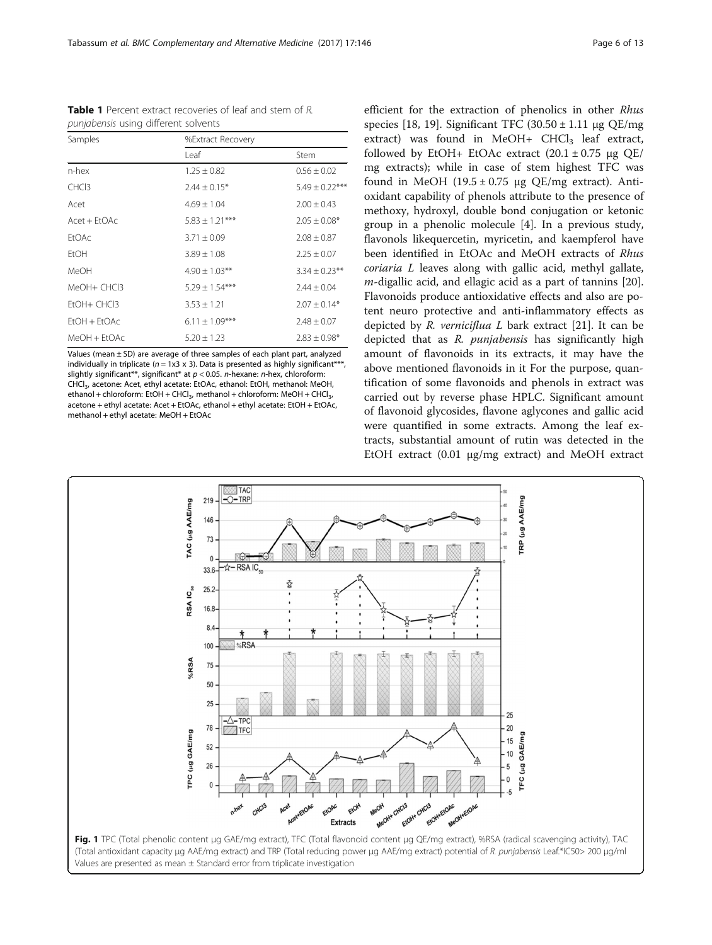<span id="page-5-0"></span>Tabassum et al. BMC Complementary and Alternative Medicine (2017) 17:146 Tabassum et al. BMC Complementary and Alternative Medicine (2017) 17:146

| Samples                  | %Extract Recovery  |                    |  |  |  |  |
|--------------------------|--------------------|--------------------|--|--|--|--|
|                          | I eaf              | <b>Stem</b>        |  |  |  |  |
| n-hex                    | $1.25 \pm 0.82$    | $0.56 \pm 0.02$    |  |  |  |  |
| CHC <sub>3</sub>         | $2.44 + 0.15*$     | $5.49 \pm 0.22***$ |  |  |  |  |
| Acet                     | $4.69 \pm 1.04$    | $2.00 \pm 0.43$    |  |  |  |  |
| $A$ cet + $F$ t $O$ $Ac$ | $5.83 \pm 1.21***$ | $2.05 \pm 0.08*$   |  |  |  |  |
| <b>EtOAc</b>             | $3.71 \pm 0.09$    | $2.08 \pm 0.87$    |  |  |  |  |
| <b>FtOH</b>              | $3.89 \pm 1.08$    | $2.25 + 0.07$      |  |  |  |  |
| <b>MeOH</b>              | $4.90 \pm 1.03$ ** | $3.34 \pm 0.23$ ** |  |  |  |  |
| MeOH+ CHCl3              | $5.29 \pm 1.54***$ | $2.44 \pm 0.04$    |  |  |  |  |
| $EtOH+CHCl3$             | $3.53 \pm 1.21$    | $2.07 \pm 0.14*$   |  |  |  |  |
| $FtOH + FtOAC$           | $6.11 \pm 1.09***$ | $2.48 \pm 0.07$    |  |  |  |  |
| MeOH + EtOAc             | $5.20 \pm 1.23$    | $2.83 \pm 0.98*$   |  |  |  |  |

Table 1 Percent extract recoveries of leaf and stem of R. punjabensis using different solvents

Values (mean ± SD) are average of three samples of each plant part, analyzed individually in triplicate ( $n = 1x3 \times 3$ ). Data is presented as highly significant\*\*\*, slightly significant\*\*, significant\* at  $p < 0.05$ . n-hexane: n-hex, chloroform: CHCl3, acetone: Acet, ethyl acetate: EtOAc, ethanol: EtOH, methanol: MeOH,  $e$ thanol + chloroform:  $F$ tOH + CHCl<sub>3</sub>, methanol + chloroform: MeOH + CHCl<sub>3</sub>, acetone + ethyl acetate: Acet + EtOAc, ethanol + ethyl acetate: EtOH + EtOAc, methanol + ethyl acetate: MeOH + EtOAc

efficient for the extraction of phenolics in other Rhus species [[18,](#page-11-0) [19\]](#page-12-0). Significant TFC  $(30.50 \pm 1.11 \text{ µg} \Omega)$ E/mg extract) was found in MeOH+  $CHCl<sub>3</sub>$  leaf extract, followed by EtOH+ EtOAc extract  $(20.1 \pm 0.75 \text{ µg} \text{ QE})$ mg extracts); while in case of stem highest TFC was found in MeOH ( $19.5 \pm 0.75$  μg QE/mg extract). Antioxidant capability of phenols attribute to the presence of methoxy, hydroxyl, double bond conjugation or ketonic group in a phenolic molecule [[4\]](#page-11-0). In a previous study, flavonols likequercetin, myricetin, and kaempferol have been identified in EtOAc and MeOH extracts of Rhus coriaria L leaves along with gallic acid, methyl gallate,  $m$ -digallic acid, and ellagic acid as a part of tannins [\[20](#page-12-0)]. Flavonoids produce antioxidative effects and also are potent neuro protective and anti-inflammatory effects as depicted by  $R$ . verniciflua  $L$  bark extract [[21](#page-12-0)]. It can be depicted that as R. punjabensis has significantly high amount of flavonoids in its extracts, it may have the above mentioned flavonoids in it For the purpose, quantification of some flavonoids and phenols in extract was carried out by reverse phase HPLC. Significant amount of flavonoid glycosides, flavone aglycones and gallic acid were quantified in some extracts. Among the leaf extracts, substantial amount of rutin was detected in the EtOH extract (0.01 μg/mg extract) and MeOH extract

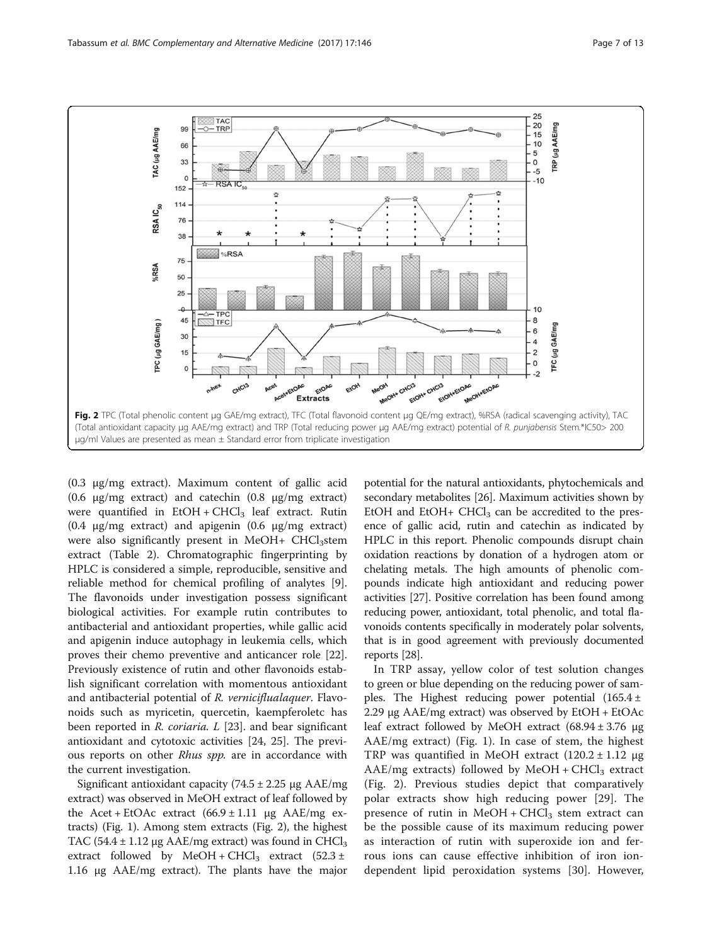<span id="page-6-0"></span>

(0.3 μg/mg extract). Maximum content of gallic acid (0.6 μg/mg extract) and catechin (0.8 μg/mg extract) were quantified in  $EtOH + CHCl<sub>3</sub>$  leaf extract. Rutin (0.4 μg/mg extract) and apigenin (0.6 μg/mg extract) were also significantly present in MeOH+  $CHCl<sub>3</sub>$ stem extract (Table [2\)](#page-7-0). Chromatographic fingerprinting by HPLC is considered a simple, reproducible, sensitive and reliable method for chemical profiling of analytes [\[9](#page-11-0)]. The flavonoids under investigation possess significant biological activities. For example rutin contributes to antibacterial and antioxidant properties, while gallic acid and apigenin induce autophagy in leukemia cells, which proves their chemo preventive and anticancer role [\[22](#page-12-0)]. Previously existence of rutin and other flavonoids establish significant correlation with momentous antioxidant and antibacterial potential of R. verniciflualaquer. Flavonoids such as myricetin, quercetin, kaempferoletc has been reported in R. *coriaria. L* [\[23](#page-12-0)]. and bear significant antioxidant and cytotoxic activities [[24](#page-12-0), [25\]](#page-12-0). The previous reports on other Rhus spp. are in accordance with the current investigation.

Significant antioxidant capacity  $(74.5 \pm 2.25 \,\mu g \,\text{AAE/mg})$ extract) was observed in MeOH extract of leaf followed by the Acet + EtOAc extract  $(66.9 \pm 1.11 \text{ µg}$  AAE/mg extracts) (Fig. [1](#page-5-0)). Among stem extracts (Fig. 2), the highest TAC (54.4  $\pm$  1.12 µg AAE/mg extract) was found in CHCl<sub>3</sub> extract followed by MeOH + CHCl<sub>3</sub> extract  $(52.3 \pm 1.5)$ 1.16 μg AAE/mg extract). The plants have the major

potential for the natural antioxidants, phytochemicals and secondary metabolites [[26](#page-12-0)]. Maximum activities shown by EtOH and EtOH +  $CHCl<sub>3</sub>$  can be accredited to the presence of gallic acid, rutin and catechin as indicated by HPLC in this report. Phenolic compounds disrupt chain oxidation reactions by donation of a hydrogen atom or chelating metals. The high amounts of phenolic compounds indicate high antioxidant and reducing power activities [[27](#page-12-0)]. Positive correlation has been found among reducing power, antioxidant, total phenolic, and total flavonoids contents specifically in moderately polar solvents, that is in good agreement with previously documented reports [\[28\]](#page-12-0).

In TRP assay, yellow color of test solution changes to green or blue depending on the reducing power of samples. The Highest reducing power potential  $(165.4 \pm 1)$ 2.29 μg AAE/mg extract) was observed by EtOH + EtOAc leaf extract followed by MeOH extract (68.94 ± 3.76 μg AAE/mg extract) (Fig. [1\)](#page-5-0). In case of stem, the highest TRP was quantified in MeOH extract  $(120.2 \pm 1.12 \mu g)$ AAE/mg extracts) followed by  $MeOH + CHCl<sub>3</sub>$  extract (Fig. 2). Previous studies depict that comparatively polar extracts show high reducing power [[29\]](#page-12-0). The presence of rutin in  $MeOH + CHCl<sub>3</sub>$  stem extract can be the possible cause of its maximum reducing power as interaction of rutin with superoxide ion and ferrous ions can cause effective inhibition of iron iondependent lipid peroxidation systems [[30\]](#page-12-0). However,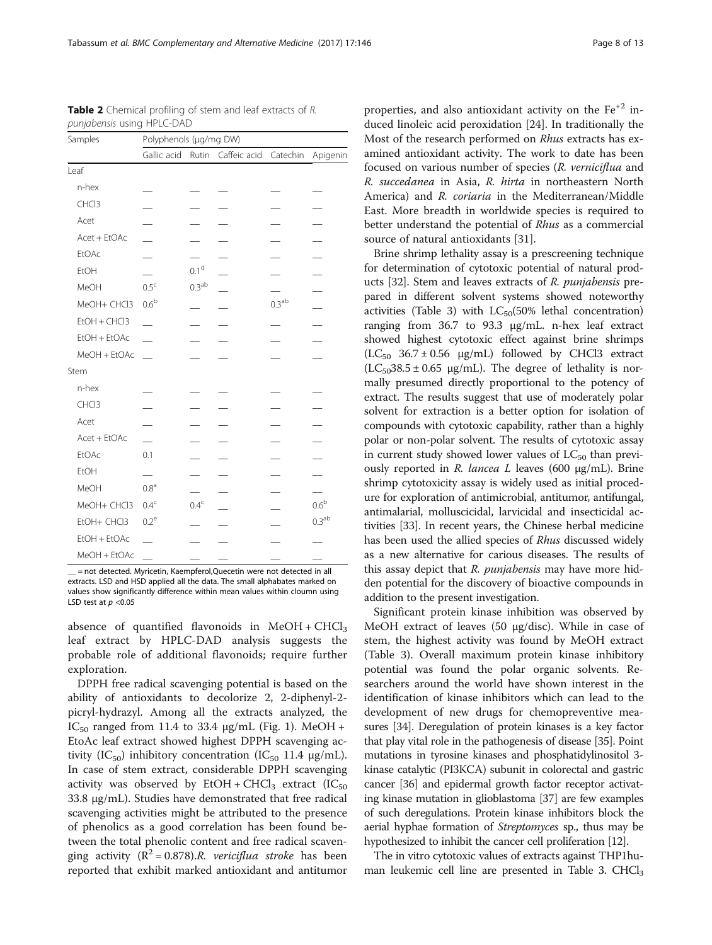$\overline{a}$  = not detected. Myricetin, Kaempferol,Quecetin were not detected in all extracts. LSD and HSD applied all the data. The small alphabates marked on values show significantly difference within mean values within cloumn using LSD test at  $p < 0.05$ 

 $M$ e $OH +$  Et $O$ Ac

absence of quantified flavonoids in  $MeOH + CHCl<sub>3</sub>$ leaf extract by HPLC-DAD analysis suggests the probable role of additional flavonoids; require further exploration.

DPPH free radical scavenging potential is based on the ability of antioxidants to decolorize 2, 2-diphenyl-2 picryl-hydrazyl. Among all the extracts analyzed, the IC<sub>50</sub> ranged from [1](#page-5-0)1.4 to 33.4 μg/mL (Fig. 1). MeOH + EtoAc leaf extract showed highest DPPH scavenging activity (IC<sub>50</sub>) inhibitory concentration (IC<sub>50</sub> 11.4 μg/mL). In case of stem extract, considerable DPPH scavenging activity was observed by  $EtOH + CHCl<sub>3</sub>$  extract (IC<sub>50</sub>) 33.8 μg/mL). Studies have demonstrated that free radical scavenging activities might be attributed to the presence of phenolics as a good correlation has been found between the total phenolic content and free radical scavenging activity  $(R^2 = 0.878)$ . *R. vericiflua stroke* has been reported that exhibit marked antioxidant and antitumor

properties, and also antioxidant activity on the  $Fe<sup>+2</sup>$  induced linoleic acid peroxidation [\[24\]](#page-12-0). In traditionally the Most of the research performed on Rhus extracts has examined antioxidant activity. The work to date has been focused on various number of species (R. verniciflua and R. succedanea in Asia, R. hirta in northeastern North America) and R. coriaria in the Mediterranean/Middle East. More breadth in worldwide species is required to better understand the potential of Rhus as a commercial source of natural antioxidants [\[31](#page-12-0)].

Brine shrimp lethality assay is a prescreening technique for determination of cytotoxic potential of natural products [[32](#page-12-0)]. Stem and leaves extracts of R. punjabensis prepared in different solvent systems showed noteworthy activities (Table [3\)](#page-8-0) with  $LC_{50}$ (50% lethal concentration) ranging from 36.7 to 93.3 μg/mL. n-hex leaf extract showed highest cytotoxic effect against brine shrimps  $(LC_{50}$  36.7 ± 0.56 µg/mL) followed by CHCl3 extract  $(LC_{50}38.5 \pm 0.65 \text{ µg/mL})$ . The degree of lethality is normally presumed directly proportional to the potency of extract. The results suggest that use of moderately polar solvent for extraction is a better option for isolation of compounds with cytotoxic capability, rather than a highly polar or non-polar solvent. The results of cytotoxic assay in current study showed lower values of  $LC_{50}$  than previously reported in R. lancea L leaves (600 μg/mL). Brine shrimp cytotoxicity assay is widely used as initial procedure for exploration of antimicrobial, antitumor, antifungal, antimalarial, molluscicidal, larvicidal and insecticidal activities [\[33\]](#page-12-0). In recent years, the Chinese herbal medicine has been used the allied species of Rhus discussed widely as a new alternative for carious diseases. The results of this assay depict that R. punjabensis may have more hidden potential for the discovery of bioactive compounds in addition to the present investigation.

Significant protein kinase inhibition was observed by MeOH extract of leaves (50 μg/disc). While in case of stem, the highest activity was found by MeOH extract (Table [3](#page-8-0)). Overall maximum protein kinase inhibitory potential was found the polar organic solvents. Researchers around the world have shown interest in the identification of kinase inhibitors which can lead to the development of new drugs for chemopreventive measures [[34](#page-12-0)]. Deregulation of protein kinases is a key factor that play vital role in the pathogenesis of disease [\[35\]](#page-12-0). Point mutations in tyrosine kinases and phosphatidylinositol 3 kinase catalytic (PI3KCA) subunit in colorectal and gastric cancer [\[36\]](#page-12-0) and epidermal growth factor receptor activating kinase mutation in glioblastoma [\[37\]](#page-12-0) are few examples of such deregulations. Protein kinase inhibitors block the aerial hyphae formation of *Streptomyces* sp., thus may be hypothesized to inhibit the cancer cell proliferation [[12](#page-11-0)].

The in vitro cytotoxic values of extracts against THP1hu-man leukemic cell line are presented in Table [3.](#page-8-0)  $CHCl<sub>3</sub>$ 

<span id="page-7-0"></span>

| Samples           | Polyphenols (µg/mg DW) |                   |                       |            |                   |  |  |  |
|-------------------|------------------------|-------------------|-----------------------|------------|-------------------|--|--|--|
|                   | Gallic acid            | Rutin             | Caffeic acid Catechin |            | Apigenin          |  |  |  |
| Leaf              |                        |                   |                       |            |                   |  |  |  |
| n-hex             |                        |                   |                       |            |                   |  |  |  |
| CHC <sub>13</sub> |                        |                   |                       |            |                   |  |  |  |
| Acet              |                        |                   |                       |            |                   |  |  |  |
| Acet + EtOAc      |                        |                   |                       |            |                   |  |  |  |
| <b>EtOAc</b>      |                        |                   |                       |            |                   |  |  |  |
| EtOH              |                        | 0.1 <sup>d</sup>  |                       |            |                   |  |  |  |
| MeOH              | $0.5^{\circ}$          | 0.3 <sup>ab</sup> |                       |            |                   |  |  |  |
| MeOH+ CHCl3       | 0.6 <sup>b</sup>       |                   |                       | $0.3^{ab}$ |                   |  |  |  |
| $EtOH + CHCl3$    |                        |                   |                       |            |                   |  |  |  |
| EtOH + EtOAc      |                        |                   |                       |            |                   |  |  |  |
| MeOH + EtOAc      |                        |                   |                       |            |                   |  |  |  |
| Stem              |                        |                   |                       |            |                   |  |  |  |
| n-hex             |                        |                   |                       |            |                   |  |  |  |
| CHC <sub>13</sub> |                        |                   |                       |            |                   |  |  |  |
| Acet              |                        |                   |                       |            |                   |  |  |  |
| Acet + EtOAc      |                        |                   |                       |            |                   |  |  |  |
| <b>EtOAc</b>      | 0.1                    |                   |                       |            |                   |  |  |  |
| <b>EtOH</b>       |                        |                   |                       |            |                   |  |  |  |
| MeOH              | 0.8 <sup>a</sup>       |                   |                       |            |                   |  |  |  |
| MeOH+ CHCl3       | 0.4 <sup>c</sup>       | 0.4 <sup>c</sup>  |                       |            | 0.6 <sup>b</sup>  |  |  |  |
| EtOH+ CHCl3       | $0.2^e$                |                   |                       |            | 0.3 <sup>ab</sup> |  |  |  |
| EtOH + EtOAc      |                        |                   |                       |            |                   |  |  |  |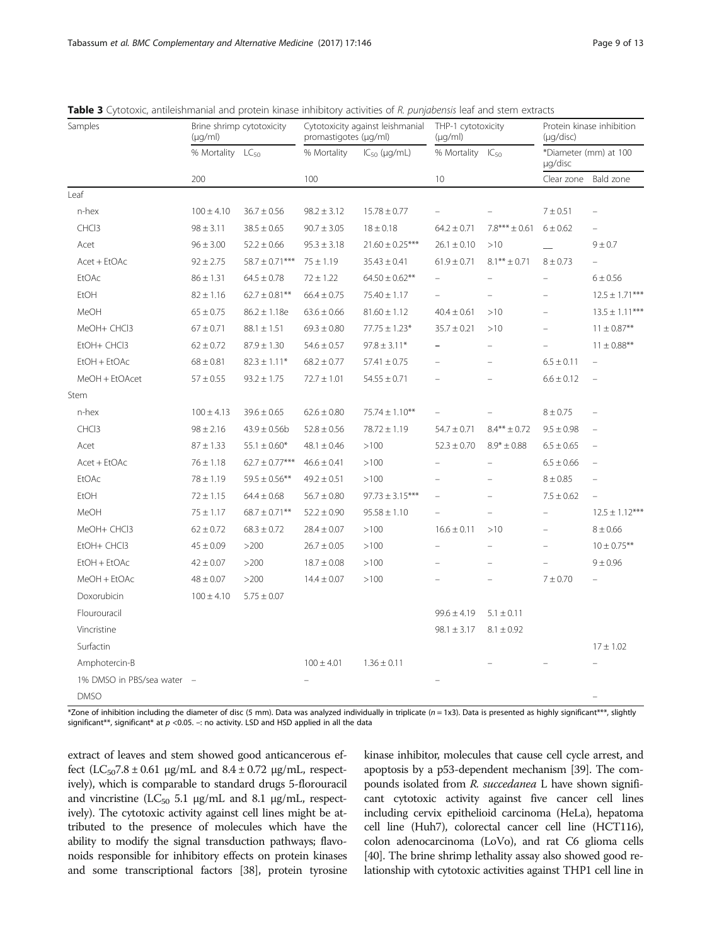| Page 9 of 13 |  |  |  |
|--------------|--|--|--|
|--------------|--|--|--|

| Samples                    | Brine shrimp cytotoxicity<br>$(\mu q/ml)$ |                    | Cytotoxicity against leishmanial<br>promastigotes (µg/ml) |                         | THP-1 cytotoxicity<br>$(\mu q/ml)$ |                   | Protein kinase inhibition<br>(µg/disc) |                       |
|----------------------------|-------------------------------------------|--------------------|-----------------------------------------------------------|-------------------------|------------------------------------|-------------------|----------------------------------------|-----------------------|
|                            | % Mortality LC <sub>50</sub>              |                    | % Mortality                                               | $IC_{50}$ ( $\mu$ g/mL) | % Mortality IC <sub>50</sub>       |                   | µg/disc                                | *Diameter (mm) at 100 |
|                            | 200                                       |                    | 100                                                       |                         | 10                                 |                   | Clear zone                             | Bald zone             |
| Leaf                       |                                           |                    |                                                           |                         |                                    |                   |                                        |                       |
| n-hex                      | $100 \pm 4.10$                            | $36.7 \pm 0.56$    | $98.2 \pm 3.12$                                           | $15.78 \pm 0.77$        |                                    |                   | 7 ± 0.51                               | $=$                   |
| CHCl3                      | $98 \pm 3.11$                             | $38.5 \pm 0.65$    | $90.7 \pm 3.05$                                           | $18 \pm 0.18$           | $64.2 \pm 0.71$                    | $7.8***$ ± 0.61   | $6 \pm 0.62$                           |                       |
| Acet                       | $96 \pm 3.00$                             | $52.2 \pm 0.66$    | $95.3 \pm 3.18$                                           | $21.60 \pm 0.25***$     | $26.1 \pm 0.10$                    | >10               |                                        | 9 ± 0.7               |
| Acet + EtOAc               | $92 \pm 2.75$                             | $58.7 \pm 0.71***$ | $75 \pm 1.19$                                             | $35.43 \pm 0.41$        | $61.9 \pm 0.71$                    | $8.1*** \pm 0.71$ | $8 \pm 0.73$                           | -                     |
| <b>EtOAc</b>               | $86 \pm 1.31$                             | $64.5 \pm 0.78$    | $72 \pm 1.22$                                             | $64.50 \pm 0.62$ **     | $\equiv$                           |                   | $\equiv$                               | 6 ± 0.56              |
| EtOH                       | $82 \pm 1.16$                             | $62.7 \pm 0.81$ ** | $66.4 \pm 0.75$                                           | $75.40 \pm 1.17$        |                                    |                   |                                        | $12.5 \pm 1.71***$    |
| <b>MeOH</b>                | $65 \pm 0.75$                             | $86.2 \pm 1.18e$   | $63.6 \pm 0.66$                                           | $81.60 \pm 1.12$        | $40.4 \pm 0.61$                    | >10               | $\equiv$                               | $13.5 \pm 1.11***$    |
| MeOH+ CHCl3                | $67 \pm 0.71$                             | $88.1 \pm 1.51$    | $69.3 \pm 0.80$                                           | $77.75 \pm 1.23*$       | $35.7 \pm 0.21$                    | >10               |                                        | $11\pm0.87^{**}$      |
| EtOH+ CHCl3                | $62 \pm 0.72$                             | $87.9 \pm 1.30$    | $54.6 \pm 0.57$                                           | $97.8 \pm 3.11*$        |                                    |                   |                                        | $11 \pm 0.88***$      |
| $EtOH + EtOAC$             | $68 \pm 0.81$                             | $82.3 \pm 1.11*$   | $68.2 \pm 0.77$                                           | $57.41 \pm 0.75$        |                                    |                   | $6.5 \pm 0.11$                         | $\equiv$              |
| MeOH + EtOAcet             | $57 \pm 0.55$                             | $93.2 \pm 1.75$    | $72.7 \pm 1.01$                                           | $54.55 \pm 0.71$        | $\overline{\phantom{0}}$           |                   | $6.6 \pm 0.12$                         | $\equiv$              |
| Stem                       |                                           |                    |                                                           |                         |                                    |                   |                                        |                       |
| n-hex                      | $100 \pm 4.13$                            | $39.6 \pm 0.65$    | $62.6 \pm 0.80$                                           | $75.74 \pm 1.10***$     |                                    |                   | $8 \pm 0.75$                           |                       |
| CHCl3                      | $98 \pm 2.16$                             | $43.9 \pm 0.56$ b  | $52.8 \pm 0.56$                                           | $78.72 \pm 1.19$        | $54.7 \pm 0.71$                    | $8.4*** \pm 0.72$ | $9.5 \pm 0.98$                         | $\equiv$              |
| Acet                       | $87 \pm 1.33$                             | $55.1 \pm 0.60*$   | $48.1 \pm 0.46$                                           | >100                    | $52.3 \pm 0.70$                    | $8.9* \pm 0.88$   | $6.5 \pm 0.65$                         | $\equiv$              |
| Acet + EtOAc               | $76 \pm 1.18$                             | $62.7 \pm 0.77***$ | $46.6 \pm 0.41$                                           | >100                    |                                    |                   | $6.5 \pm 0.66$                         | $\equiv$              |
| <b>EtOAc</b>               | $78 \pm 1.19$                             | $59.5 \pm 0.56$ ** | $49.2 \pm 0.51$                                           | >100                    |                                    |                   | $8 \pm 0.85$                           |                       |
| EtOH                       | $72 \pm 1.15$                             | $64.4 \pm 0.68$    | $56.7 \pm 0.80$                                           | $97.73 \pm 3.15***$     | $\overline{\phantom{0}}$           |                   | $7.5 \pm 0.62$                         | $\equiv$              |
| MeOH                       | $75 \pm 1.17$                             | $68.7 \pm 0.71***$ | $52.2 \pm 0.90$                                           | $95.58 \pm 1.10$        |                                    |                   | $\equiv$                               | $12.5 \pm 1.12***$    |
| MeOH+ CHCl3                | $62 \pm 0.72$                             | $68.3 \pm 0.72$    | $28.4 \pm 0.07$                                           | >100                    | $16.6 \pm 0.11$                    | >10               | $\equiv$                               | $8 \pm 0.66$          |
| EtOH+ CHCl3                | $45 \pm 0.09$                             | >200               | $26.7 \pm 0.05$                                           | >100                    |                                    |                   |                                        | $10 \pm 0.75***$      |
| $EtOH + EtOAC$             | $42 \pm 0.07$                             | >200               | $18.7 \pm 0.08$                                           | >100                    |                                    |                   |                                        | 9 ± 0.96              |
| MeOH + EtOAc               | $48 \pm 0.07$                             | >200               | $14.4 \pm 0.07$                                           | >100                    |                                    |                   | 7 ± 0.70                               |                       |
| Doxorubicin                | $100 \pm 4.10$                            | $5.75 \pm 0.07$    |                                                           |                         |                                    |                   |                                        |                       |
| Flourouracil               |                                           |                    |                                                           |                         | $99.6 \pm 4.19$                    | $5.1 \pm 0.11$    |                                        |                       |
| Vincristine                |                                           |                    |                                                           |                         | $98.1 \pm 3.17$                    | $8.1 \pm 0.92$    |                                        |                       |
| Surfactin                  |                                           |                    |                                                           |                         |                                    |                   |                                        | $17 \pm 1.02$         |
| Amphotercin-B              |                                           |                    | $100 \pm 4.01$                                            | $1.36 \pm 0.11$         |                                    |                   |                                        |                       |
| 1% DMSO in PBS/sea water - |                                           |                    |                                                           |                         |                                    |                   |                                        |                       |
| <b>DMSO</b>                |                                           |                    |                                                           |                         |                                    |                   |                                        |                       |

<span id="page-8-0"></span>Table 3 Cytotoxic, antileishmanial and protein kinase inhibitory activities of R. punjabensis leaf and stem extracts

\*Zone of inhibition including the diameter of disc (5 mm). Data was analyzed individually in triplicate ( $n = 1 \times 3$ ). Data is presented as highly significant\*\*\*, slightly significant\*\*, significant\* at  $p < 0.05$ . -: no activity. LSD and HSD applied in all the data

extract of leaves and stem showed good anticancerous effect (LC<sub>50</sub>7.8 ± 0.61 μg/mL and  $8.4 \pm 0.72$  μg/mL, respectively), which is comparable to standard drugs 5-florouracil and vincristine ( $LC_{50}$  5.1 μg/mL and 8.1 μg/mL, respectively). The cytotoxic activity against cell lines might be attributed to the presence of molecules which have the ability to modify the signal transduction pathways; flavonoids responsible for inhibitory effects on protein kinases and some transcriptional factors [[38](#page-12-0)], protein tyrosine kinase inhibitor, molecules that cause cell cycle arrest, and apoptosis by a p53-dependent mechanism [\[39\]](#page-12-0). The compounds isolated from R. succedanea L have shown significant cytotoxic activity against five cancer cell lines including cervix epithelioid carcinoma (HeLa), hepatoma cell line (Huh7), colorectal cancer cell line (HCT116), colon adenocarcinoma (LoVo), and rat C6 glioma cells [[40](#page-12-0)]. The brine shrimp lethality assay also showed good relationship with cytotoxic activities against THP1 cell line in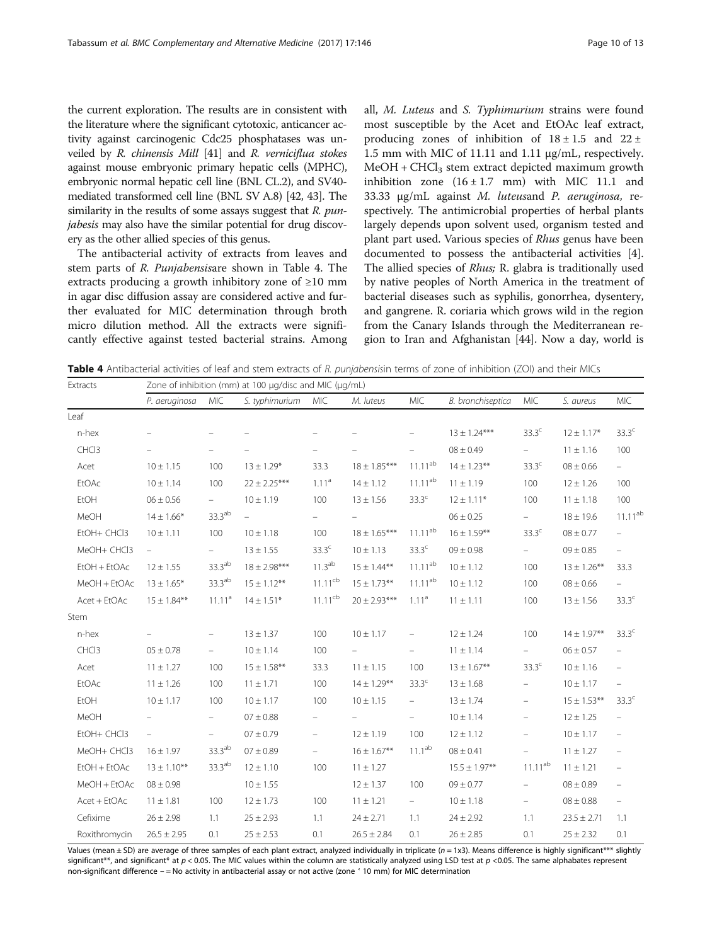the current exploration. The results are in consistent with the literature where the significant cytotoxic, anticancer activity against carcinogenic Cdc25 phosphatases was unveiled by R. chinensis Mill [[41](#page-12-0)] and R. verniciflua stokes against mouse embryonic primary hepatic cells (MPHC), embryonic normal hepatic cell line (BNL CL.2), and SV40 mediated transformed cell line (BNL SV A.8) [\[42, 43\]](#page-12-0). The similarity in the results of some assays suggest that R. punjabesis may also have the similar potential for drug discovery as the other allied species of this genus.

The antibacterial activity of extracts from leaves and stem parts of R. Punjabensisare shown in Table 4. The extracts producing a growth inhibitory zone of ≥10 mm in agar disc diffusion assay are considered active and further evaluated for MIC determination through broth micro dilution method. All the extracts were significantly effective against tested bacterial strains. Among all, M. Luteus and S. Typhimurium strains were found most susceptible by the Acet and EtOAc leaf extract, producing zones of inhibition of  $18 \pm 1.5$  and  $22 \pm$ 1.5 mm with MIC of 11.11 and 1.11 μg/mL, respectively.  $MeOH + CHCl<sub>3</sub>$  stem extract depicted maximum growth inhibition zone  $(16 \pm 1.7 \text{ mm})$  with MIC 11.1 and 33.33 μg/mL against M. luteusand P. aeruginosa, respectively. The antimicrobial properties of herbal plants largely depends upon solvent used, organism tested and plant part used. Various species of Rhus genus have been documented to possess the antibacterial activities [\[4](#page-11-0)]. The allied species of Rhus; R. glabra is traditionally used by native peoples of North America in the treatment of bacterial diseases such as syphilis, gonorrhea, dysentery, and gangrene. R. coriaria which grows wild in the region from the Canary Islands through the Mediterranean region to Iran and Afghanistan [\[44\]](#page-12-0). Now a day, world is

Table 4 Antibacterial activities of leaf and stem extracts of R. punjabensisin terms of zone of inhibition (ZOI) and their MICs

| Extracts          | Zone of inhibition (mm) at 100 µg/disc and MIC (µg/mL) |                          |                          |                          |                          |                          |                   |                          |                  |                          |
|-------------------|--------------------------------------------------------|--------------------------|--------------------------|--------------------------|--------------------------|--------------------------|-------------------|--------------------------|------------------|--------------------------|
|                   | P. aeruginosa                                          | MIC                      | S. typhimurium           | <b>MIC</b>               | M. luteus                | <b>MIC</b>               | B. bronchiseptica | <b>MIC</b>               | S. aureus        | <b>MIC</b>               |
| Leaf              |                                                        |                          |                          |                          |                          |                          |                   |                          |                  |                          |
| n-hex             |                                                        |                          |                          |                          |                          |                          | $13 \pm 1.24***$  | $33.3^\circ$             | $12 \pm 1.17*$   | 33.3 <sup>c</sup>        |
| CHC <sub>13</sub> |                                                        |                          |                          | $\overline{\phantom{0}}$ |                          |                          | $08 \pm 0.49$     | $\overline{\phantom{0}}$ | $11 \pm 1.16$    | 100                      |
| Acet              | $10 \pm 1.15$                                          | 100                      | $13 \pm 1.29*$           | 33.3                     | $18 \pm 1.85***$         | $11.11^{ab}$             | $14 \pm 1.23***$  | 33.3 <sup>c</sup>        | $08 \pm 0.66$    | $=$                      |
| EtOAc             | $10 \pm 1.14$                                          | 100                      | $22 \pm 2.25***$         | 1.11 <sup>a</sup>        | $14 \pm 1.12$            | $11.11^{ab}$             | $11 \pm 1.19$     | 100                      | $12 \pm 1.26$    | 100                      |
| EtOH              | $06 \pm 0.56$                                          | $\equiv$                 | $10 \pm 1.19$            | 100                      | $13 \pm 1.56$            | $33.3^\circ$             | $12 \pm 1.11*$    | 100                      | $11 \pm 1.18$    | 100                      |
| MeOH              | $14 \pm 1.66*$                                         | 33.3 <sup>ab</sup>       | $\overline{\phantom{0}}$ |                          | $\overline{\phantom{0}}$ |                          | $06 \pm 0.25$     | $=$                      | $18 \pm 19.6$    | $11.11^{ab}$             |
| EtOH+ CHCl3       | $10 \pm 1.11$                                          | 100                      | $10 \pm 1.18$            | 100                      | $18 \pm 1.65***$         | $11.11^{ab}$             | $16 \pm 1.59***$  | $33.3^\circ$             | $08 \pm 0.77$    | $\equiv$                 |
| MeOH+ CHCl3       | $\equiv$                                               | $\equiv$                 | $13 \pm 1.55$            | $33.3^\circ$             | $10 \pm 1.13$            | $33.3^\circ$             | $09 \pm 0.98$     | $\equiv$                 | $09 \pm 0.85$    | $\equiv$                 |
| EtOH + EtOAc      | $12 \pm 1.55$                                          | $33.3^{ab}$              | $18 \pm 2.98***$         | $11.3^{ab}$              | $15 \pm 1.44***$         | $11.11^{ab}$             | $10 \pm 1.12$     | 100                      | $13 \pm 1.26***$ | 33.3                     |
| MeOH + EtOAc      | $13 \pm 1.65*$                                         | 33.3 <sup>ab</sup>       | $15 \pm 1.12***$         | $11.11^{cb}$             | $15 \pm 1.73$ **         | $11.11^{ab}$             | $10 \pm 1.12$     | 100                      | $08 \pm 0.66$    | $\overline{\phantom{0}}$ |
| $Acet + EtOAc$    | $15 \pm 1.84***$                                       | 11.11 <sup>a</sup>       | $14 \pm 1.51*$           | $11.11^{cb}$             | $20 \pm 2.93***$         | 1.11 <sup>a</sup>        | $11 \pm 1.11$     | 100                      | $13 \pm 1.56$    | 33.3 <sup>c</sup>        |
| Stem              |                                                        |                          |                          |                          |                          |                          |                   |                          |                  |                          |
| n-hex             |                                                        |                          | $13 \pm 1.37$            | 100                      | $10 \pm 1.17$            | $\overline{\phantom{m}}$ | $12 \pm 1.24$     | 100                      | $14 \pm 1.97***$ | $33.3^\circ$             |
| CHC <sub>13</sub> | $05 \pm 0.78$                                          | $\qquad \qquad -$        | $10 \pm 1.14$            | 100                      |                          | $\overline{\phantom{0}}$ | $11 \pm 1.14$     | $\equiv$                 | $06 \pm 0.57$    | $\overline{\phantom{0}}$ |
| Acet              | $11 \pm 1.27$                                          | 100                      | $15 \pm 1.58***$         | 33.3                     | $11 \pm 1.15$            | 100                      | $13 \pm 1.67$ **  | $33.3^\circ$             | $10 \pm 1.16$    | $\equiv$                 |
| EtOAc             | $11 \pm 1.26$                                          | 100                      | $11 \pm 1.71$            | 100                      | $14 \pm 1.29***$         | 33.3 <sup>c</sup>        | $13 \pm 1.68$     | -                        | $10 \pm 1.17$    | $\equiv$                 |
| EtOH              | $10 \pm 1.17$                                          | 100                      | $10 \pm 1.17$            | 100                      | $10 \pm 1.15$            |                          | $13 \pm 1.74$     | $\overline{\phantom{0}}$ | $15 \pm 1.53***$ | 33.3 <sup>c</sup>        |
| <b>MeOH</b>       |                                                        | $\overline{\phantom{0}}$ | $07 \pm 0.88$            | $\overline{\phantom{a}}$ |                          | $\overline{\phantom{a}}$ | $10 \pm 1.14$     | $\overline{\phantom{0}}$ | $12 \pm 1.25$    | $\equiv$                 |
| EtOH+ CHCl3       | $\overline{\phantom{0}}$                               | $\qquad \qquad -$        | $07 \pm 0.79$            | $\equiv$                 | $12 \pm 1.19$            | 100                      | $12 \pm 1.12$     | ÷                        | $10 \pm 1.17$    | $\equiv$                 |
| MeOH+ CHCl3       | $16 \pm 1.97$                                          | 33.3 <sup>ab</sup>       | $07 \pm 0.89$            | $\equiv$                 | $16 \pm 1.67***$         | $11.1^{ab}$              | $08 \pm 0.41$     | $\equiv$                 | $11 \pm 1.27$    | $\overline{\phantom{m}}$ |
| $EtOH + EtOAC$    | $13 \pm 1.10***$                                       | 33.3 <sup>ab</sup>       | $12 \pm 1.10$            | 100                      | $11 \pm 1.27$            |                          | $15.5 \pm 1.97**$ | $11.11^{ab}$             | $11 \pm 1.21$    | $\overline{\phantom{a}}$ |
| $MeOH + EtOAC$    | $08 \pm 0.98$                                          |                          | $10 \pm 1.55$            |                          | $12 \pm 1.37$            | 100                      | $09 \pm 0.77$     | ÷                        | $08 \pm 0.89$    | $\overline{\phantom{m}}$ |
| Acet + EtOAc      | $11 \pm 1.81$                                          | 100                      | $12 \pm 1.73$            | 100                      | $11 \pm 1.21$            | $\overline{\phantom{a}}$ | $10 \pm 1.18$     | -                        | $08 \pm 0.88$    | $\equiv$                 |
| Cefixime          | $26 \pm 2.98$                                          | 1.1                      | $25 \pm 2.93$            | 1.1                      | $24 \pm 2.71$            | 1.1                      | $24 \pm 2.92$     | 1.1                      | $23.5 \pm 2.71$  | 1.1                      |
| Roxithromycin     | $26.5 \pm 2.95$                                        | 0.1                      | $25 \pm 2.53$            | 0.1                      | $26.5 \pm 2.84$          | 0.1                      | $26 \pm 2.85$     | 0.1                      | $25 \pm 2.32$    | 0.1                      |

Values (mean  $\pm$  SD) are average of three samples of each plant extract, analyzed individually in triplicate ( $n = 1 \times 3$ ). Means difference is highly significant\*\*\* slightly significant\*\*, and significant\* at  $p < 0.05$ . The MIC values within the column are statistically analyzed using LSD test at  $p < 0.05$ . The same alphabates represent non-significant difference – = No activity in antibacterial assay or not active (zone ˂ 10 mm) for MIC determination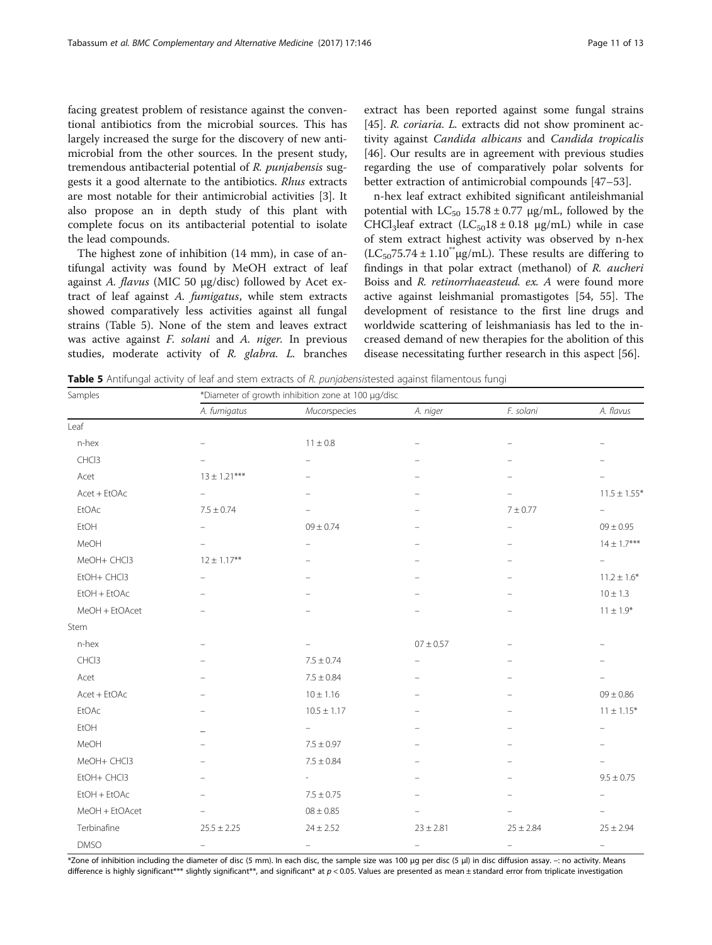facing greatest problem of resistance against the conventional antibiotics from the microbial sources. This has largely increased the surge for the discovery of new antimicrobial from the other sources. In the present study, tremendous antibacterial potential of R. punjabensis suggests it a good alternate to the antibiotics. Rhus extracts are most notable for their antimicrobial activities [\[3\]](#page-11-0). It also propose an in depth study of this plant with complete focus on its antibacterial potential to isolate the lead compounds.

The highest zone of inhibition (14 mm), in case of antifungal activity was found by MeOH extract of leaf against A. flavus (MIC 50 μg/disc) followed by Acet extract of leaf against A. fumigatus, while stem extracts showed comparatively less activities against all fungal strains (Table 5). None of the stem and leaves extract was active against F. solani and A. niger. In previous studies, moderate activity of R. glabra. L. branches

extract has been reported against some fungal strains [[45\]](#page-12-0). *R. coriaria. L.* extracts did not show prominent activity against Candida albicans and Candida tropicalis [[46\]](#page-12-0). Our results are in agreement with previous studies regarding the use of comparatively polar solvents for better extraction of antimicrobial compounds [\[47](#page-12-0)–[53](#page-12-0)].

n-hex leaf extract exhibited significant antileishmanial potential with  $LC_{50}$  15.78 ± 0.77  $\mu$ g/mL, followed by the CHCl<sub>3</sub>leaf extract (LC<sub>50</sub>18  $\pm$  0.18 μg/mL) while in case of stem extract highest activity was observed by n-hex  $(LC_{50}75.74 \pm 1.10^{44} \text{ kg/mL})$ . These results are differing to findings in that polar extract (methanol) of R. aucheri Boiss and R. retinorrhaeasteud. ex. A were found more active against leishmanial promastigotes [[54](#page-12-0), [55\]](#page-12-0). The development of resistance to the first line drugs and worldwide scattering of leishmaniasis has led to the increased demand of new therapies for the abolition of this disease necessitating further research in this aspect [\[56](#page-12-0)].

Table 5 Antifungal activity of leaf and stem extracts of R. punjabensistested against filamentous fungi

| Samples           | *Diameter of growth inhibition zone at 100 µg/disc |                          |                          |                          |                          |  |  |  |
|-------------------|----------------------------------------------------|--------------------------|--------------------------|--------------------------|--------------------------|--|--|--|
|                   | A. fumigatus                                       | Mucorspecies             | A. niger                 | F. solani                | A. flavus                |  |  |  |
| Leaf              |                                                    |                          |                          |                          |                          |  |  |  |
| n-hex             |                                                    | $11 \pm 0.8$             | -                        | -                        | $\overline{\phantom{m}}$ |  |  |  |
| CHC <sub>13</sub> |                                                    | $\overline{\phantom{0}}$ |                          |                          |                          |  |  |  |
| Acet              | $13 \pm 1.21***$                                   |                          |                          |                          |                          |  |  |  |
| Acet + EtOAc      |                                                    | $\overline{a}$           | $\overline{a}$           |                          | $11.5 \pm 1.55*$         |  |  |  |
| EtOAc             | $7.5 \pm 0.74$                                     |                          | $\overline{\phantom{0}}$ | 7 ± 0.77                 | $\overline{\phantom{0}}$ |  |  |  |
| EtOH              | ÷,                                                 | $09 \pm 0.74$            |                          | $\equiv$                 | $09 \pm 0.95$            |  |  |  |
| MeOH              |                                                    | $\qquad \qquad -$        | $\overline{\phantom{0}}$ | $\overline{\phantom{0}}$ | $14 \pm 1.7***$          |  |  |  |
| MeOH+ CHCl3       | $12 \pm 1.17***$                                   |                          |                          |                          | $\overline{\phantom{0}}$ |  |  |  |
| EtOH+ CHCl3       | $\qquad \qquad -$                                  |                          |                          | $\equiv$                 | $11.2 \pm 1.6*$          |  |  |  |
| $EtOH + EtOAC$    |                                                    |                          |                          |                          | $10 \pm 1.3$             |  |  |  |
| MeOH + EtOAcet    |                                                    |                          |                          |                          | $11 \pm 1.9*$            |  |  |  |
| Stem              |                                                    |                          |                          |                          |                          |  |  |  |
| n-hex             |                                                    |                          | $07 \pm 0.57$            |                          |                          |  |  |  |
| CHC <sub>13</sub> |                                                    | $7.5 \pm 0.74$           | $\overline{\phantom{0}}$ |                          |                          |  |  |  |
| Acet              |                                                    | $7.5 \pm 0.84$           | $\overline{\phantom{0}}$ | ÷                        |                          |  |  |  |
| Acet + EtOAc      |                                                    | $10 \pm 1.16$            | $\overline{\phantom{0}}$ |                          | $09 \pm 0.86$            |  |  |  |
| EtOAc             |                                                    | $10.5 \pm 1.17$          |                          |                          | $11 \pm 1.15*$           |  |  |  |
| EtOH              |                                                    |                          |                          |                          | $\overline{\phantom{0}}$ |  |  |  |
| MeOH              |                                                    | $7.5 \pm 0.97$           |                          |                          |                          |  |  |  |
| MeOH+ CHCl3       |                                                    | $7.5 \pm 0.84$           | $\equiv$                 |                          |                          |  |  |  |
| EtOH+ CHCl3       |                                                    |                          |                          |                          | $9.5 \pm 0.75$           |  |  |  |
| $EtOH + EtOAC$    |                                                    | $7.5 \pm 0.75$           |                          |                          |                          |  |  |  |
| MeOH + EtOAcet    |                                                    | $08 \pm 0.85$            |                          |                          |                          |  |  |  |
| Terbinafine       | $25.5 \pm 2.25$                                    | $24 \pm 2.52$            | $23 \pm 2.81$            | $25 \pm 2.84$            | $25 \pm 2.94$            |  |  |  |
| <b>DMSO</b>       | $\overline{\phantom{m}}$                           | $\qquad \qquad -$        | $\qquad \qquad -$        | $\overline{\phantom{m}}$ | $\qquad \qquad -$        |  |  |  |

\*Zone of inhibition including the diameter of disc (5 mm). In each disc, the sample size was 100 μg per disc (5 μl) in disc diffusion assay. –: no activity. Means difference is highly significant\*\*\* slightly significant\*\*, and significant\* at p < 0.05. Values are presented as mean ± standard error from triplicate investigation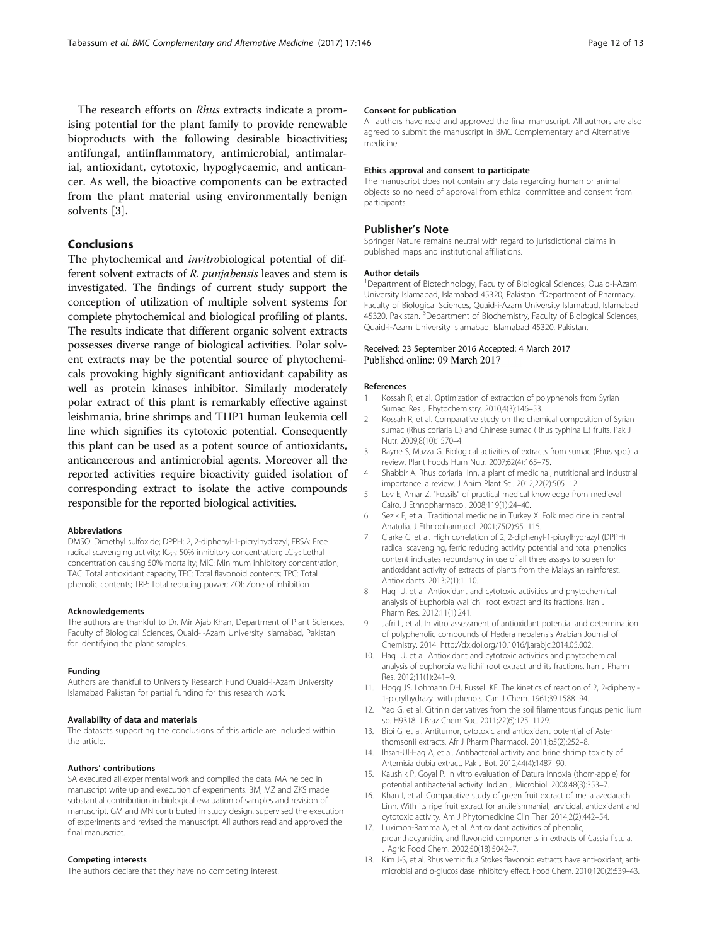<span id="page-11-0"></span>The research efforts on Rhus extracts indicate a promising potential for the plant family to provide renewable bioproducts with the following desirable bioactivities; antifungal, antiinflammatory, antimicrobial, antimalarial, antioxidant, cytotoxic, hypoglycaemic, and anticancer. As well, the bioactive components can be extracted from the plant material using environmentally benign solvents [3].

#### Conclusions

The phytochemical and invitrobiological potential of different solvent extracts of R. punjabensis leaves and stem is investigated. The findings of current study support the conception of utilization of multiple solvent systems for complete phytochemical and biological profiling of plants. The results indicate that different organic solvent extracts possesses diverse range of biological activities. Polar solvent extracts may be the potential source of phytochemicals provoking highly significant antioxidant capability as well as protein kinases inhibitor. Similarly moderately polar extract of this plant is remarkably effective against leishmania, brine shrimps and THP1 human leukemia cell line which signifies its cytotoxic potential. Consequently this plant can be used as a potent source of antioxidants, anticancerous and antimicrobial agents. Moreover all the reported activities require bioactivity guided isolation of corresponding extract to isolate the active compounds responsible for the reported biological activities.

#### Abbreviations

DMSO: Dimethyl sulfoxide; DPPH: 2, 2-diphenyl-1-picrylhydrazyl; FRSA: Free radical scavenging activity;  $IC_{50}$ : 50% inhibitory concentration;  $LC_{50}$ : Lethal concentration causing 50% mortality; MIC: Minimum inhibitory concentration; TAC: Total antioxidant capacity; TFC: Total flavonoid contents; TPC: Total phenolic contents; TRP: Total reducing power; ZOI: Zone of inhibition

#### Acknowledgements

The authors are thankful to Dr. Mir Ajab Khan, Department of Plant Sciences, Faculty of Biological Sciences, Quaid-i-Azam University Islamabad, Pakistan for identifying the plant samples.

#### Funding

Authors are thankful to University Research Fund Quaid-i-Azam University Islamabad Pakistan for partial funding for this research work.

#### Availability of data and materials

The datasets supporting the conclusions of this article are included within the article.

#### Authors' contributions

SA executed all experimental work and compiled the data. MA helped in manuscript write up and execution of experiments. BM, MZ and ZKS made substantial contribution in biological evaluation of samples and revision of manuscript. GM and MN contributed in study design, supervised the execution of experiments and revised the manuscript. All authors read and approved the final manuscript.

#### Competing interests

The authors declare that they have no competing interest.

#### Consent for publication

All authors have read and approved the final manuscript. All authors are also agreed to submit the manuscript in BMC Complementary and Alternative medicine.

#### Ethics approval and consent to participate

The manuscript does not contain any data regarding human or animal objects so no need of approval from ethical committee and consent from participants.

#### Publisher's Note

Springer Nature remains neutral with regard to jurisdictional claims in published maps and institutional affiliations.

#### Author details

<sup>1</sup>Department of Biotechnology, Faculty of Biological Sciences, Quaid-i-Azam University Islamabad, Islamabad 45320, Pakistan. <sup>2</sup>Department of Pharmacy, Faculty of Biological Sciences, Quaid-i-Azam University Islamabad, Islamabad 45320, Pakistan.<sup>3</sup>Department of Biochemistry, Faculty of Biological Sciences Quaid-i-Azam University Islamabad, Islamabad 45320, Pakistan.

# Received: 23 September 2016 Accepted: 4 March 2017

#### References

- 1. Kossah R, et al. Optimization of extraction of polyphenols from Syrian Sumac. Res J Phytochemistry. 2010;4(3):146–53.
- 2. Kossah R, et al. Comparative study on the chemical composition of Syrian sumac (Rhus coriaria L.) and Chinese sumac (Rhus typhina L.) fruits. Pak J Nutr. 2009;8(10):1570–4.
- 3. Rayne S, Mazza G. Biological activities of extracts from sumac (Rhus spp.): a review. Plant Foods Hum Nutr. 2007;62(4):165–75.
- 4. Shabbir A. Rhus coriaria linn, a plant of medicinal, nutritional and industrial importance: a review. J Anim Plant Sci. 2012;22(2):505–12.
- 5. Lev E, Amar Z. "Fossils" of practical medical knowledge from medieval Cairo. J Ethnopharmacol. 2008;119(1):24–40.
- 6. Sezik E, et al. Traditional medicine in Turkey X. Folk medicine in central Anatolia. J Ethnopharmacol. 2001;75(2):95–115.
- 7. Clarke G, et al. High correlation of 2, 2-diphenyl-1-picrylhydrazyl (DPPH) radical scavenging, ferric reducing activity potential and total phenolics content indicates redundancy in use of all three assays to screen for antioxidant activity of extracts of plants from the Malaysian rainforest. Antioxidants. 2013;2(1):1–10.
- 8. Haq IU, et al. Antioxidant and cytotoxic activities and phytochemical analysis of Euphorbia wallichii root extract and its fractions. Iran J Pharm Res. 2012;11(1):241.
- Jafri L, et al. In vitro assessment of antioxidant potential and determination of polyphenolic compounds of Hedera nepalensis Arabian Journal of Chemistry. 2014. [http://dx.doi.org/10.1016/j.arabjc.2014.05.002.](http://dx.doi.org/10.1016/j.arabjc.2014.05.002)
- 10. Haq IU, et al. Antioxidant and cytotoxic activities and phytochemical analysis of euphorbia wallichii root extract and its fractions. Iran J Pharm Res. 2012;11(1):241–9.
- 11. Hogg JS, Lohmann DH, Russell KE. The kinetics of reaction of 2, 2-diphenyl-1-picrylhydrazyl with phenols. Can J Chem. 1961;39:1588–94.
- 12. Yao G, et al. Citrinin derivatives from the soil filamentous fungus penicillium sp. H9318. J Braz Chem Soc. 2011;22(6):125–1129.
- 13. Bibi G, et al. Antitumor, cytotoxic and antioxidant potential of Aster thomsonii extracts. Afr J Pharm Pharmacol. 2011;b5(2):252–8.
- 14. Ihsan-Ul-Haq A, et al. Antibacterial activity and brine shrimp toxicity of Artemisia dubia extract. Pak J Bot. 2012;44(4):1487–90.
- 15. Kaushik P, Goyal P. In vitro evaluation of Datura innoxia (thorn-apple) for potential antibacterial activity. Indian J Microbiol. 2008;48(3):353–7.
- 16. Khan I, et al. Comparative study of green fruit extract of melia azedarach Linn. With its ripe fruit extract for antileishmanial, larvicidal, antioxidant and cytotoxic activity. Am J Phytomedicine Clin Ther. 2014;2(2):442–54.
- 17. Luximon-Ramma A, et al. Antioxidant activities of phenolic, proanthocyanidin, and flavonoid components in extracts of Cassia fistula. J Agric Food Chem. 2002;50(18):5042–7.
- 18. Kim J-S, et al. Rhus verniciflua Stokes flavonoid extracts have anti-oxidant, antimicrobial and α-glucosidase inhibitory effect. Food Chem. 2010;120(2):539–43.